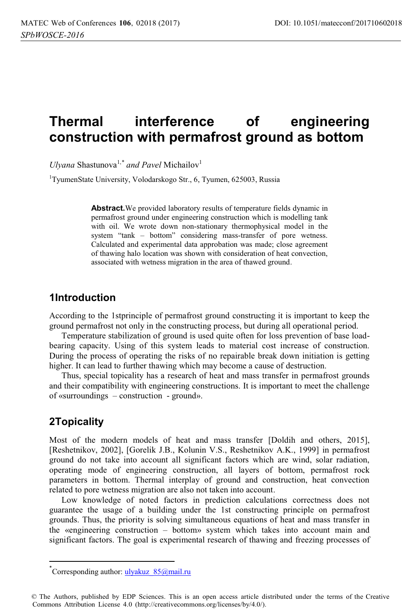# **Thermal interference of engineering construction with permafrost ground as bottom**

*Ulyana* Shastunova<sup>1,\*</sup> and Pavel Michailov<sup>1</sup>

<sup>1</sup>TyumenState University, Volodarskogo Str., 6, Tyumen, 625003, Russia

**Abstract.**We provided laboratory results of temperature fields dynamic in permafrost ground under engineering construction which is modelling tank with oil. We wrote down non-stationary thermophysical model in the system "tank – bottom" considering mass-transfer of pore wetness. Calculated and experimental data approbation was made; close agreement of thawing halo location was shown with consideration of heat convection, associated with wetness migration in the area of thawed ground.

#### **1Introduction**

According to the 1stprinciple of permafrost ground constructing it is important to keep the ground permafrost not only in the constructing process, but during all operational period.

Temperature stabilization of ground is used quite often for loss prevention of base loadbearing capacity. Using of this system leads to material cost increase of construction. During the process of operating the risks of no repairable break down initiation is getting higher. It can lead to further thawing which may become a cause of destruction.

Thus, special topicality has a research of heat and mass transfer in permafrost grounds and their compatibility with engineering constructions. It is important to meet the challenge of «surroundings – construction - ground».

# **2Topicality**

l

Most of the modern models of heat and mass transfer [Doldih and others, 2015], [Reshetnikov, 2002], [Gorelik J.B., Kolunin V.S., Reshetnikov A.K., 1999] in permafrost ground do not take into account all significant factors which are wind, solar radiation, operating mode of engineering construction, all layers of bottom, permafrost rock parameters in bottom. Thermal interplay of ground and construction, heat convection related to pore wetness migration are also not taken into account.

Low knowledge of noted factors in prediction calculations correctness does not guarantee the usage of a building under the 1st constructing principle on permafrost grounds. Thus, the priority is solving simultaneous equations of heat and mass transfer in the «engineering construction – bottom» system which takes into account main and significant factors. The goal is experimental research of thawing and freezing processes of

<sup>\*&</sup>lt;br>Corresponding author: ulyakuz\_85@mail.ru

<sup>©</sup> The Authors, published by EDP Sciences. This is an open access article distributed under the terms of the Creative Commons Attribution License 4.0 (http://creativecommons.org/licenses/by/4.0/).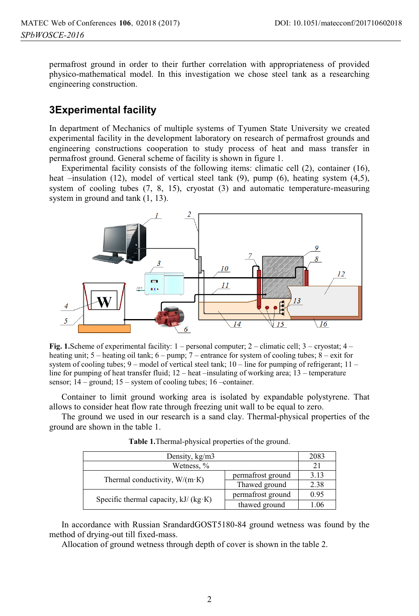permafrost ground in order to their further correlation with appropriateness of provided physico-mathematical model. In this investigation we chose steel tank as a researching engineering construction.

# **3Experimental facility**

In department of Mechanics of multiple systems of Tyumen State University we created experimental facility in the development laboratory on research of permafrost grounds and engineering constructions cooperation to study process of heat and mass transfer in permafrost ground. General scheme of facility is shown in figure 1.

Experimental facility consists of the following items: climatic cell (2), container (16), heat –insulation (12), model of vertical steel tank (9), pump (6), heating system (4,5), system of cooling tubes (7, 8, 15), cryostat (3) and automatic temperature-measuring system in ground and tank (1, 13).



**Fig. 1.**Scheme of experimental facility: 1 – personal computer; 2 – climatic cell; 3 – cryostat; 4 – heating unit; 5 – heating oil tank; 6 – pump; 7 – entrance for system of cooling tubes; 8 – exit for system of cooling tubes;  $9$  – model of vertical steel tank;  $10$  – line for pumping of refrigerant;  $11$  – line for pumping of heat transfer fluid; 12 – heat –insulating of working area; 13 – temperature sensor; 14 – ground; 15 – system of cooling tubes; 16 – container.

Container to limit ground working area is isolated by expandable polystyrene. That allows to consider heat flow rate through freezing unit wall to be equal to zero.

The ground we used in our research is a sand clay. Thermal-physical properties of the ground are shown in the table 1.

| Density, kg/m3                         |                   | 2083           |
|----------------------------------------|-------------------|----------------|
| Wetness, %                             |                   | 2 <sup>1</sup> |
| Thermal conductivity, $W/(m \cdot K)$  | permafrost ground | 3.13           |
|                                        | Thawed ground     | 2.38           |
| Specific thermal capacity, $kJ/(kg·K)$ | permafrost ground | 0.95           |
|                                        | thawed ground     | 1.06           |

**Table 1.**Thermal-physical properties of the ground.

In accordance with Russian SrandardGOST5180-84 ground wetness was found by the method of drying-out till fixed-mass.

Allocation of ground wetness through depth of cover is shown in the table 2.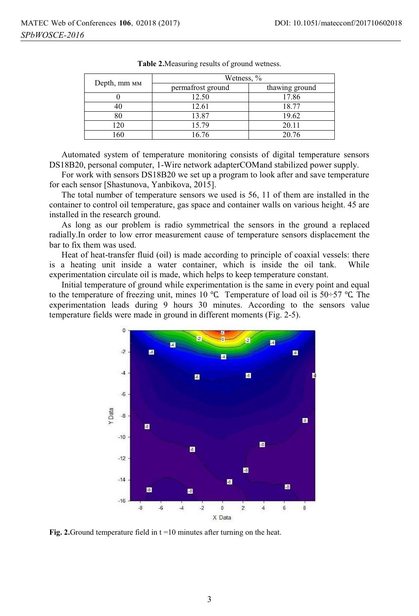|              | Wetness, %        |                |  |
|--------------|-------------------|----------------|--|
| Depth, mm MM | permafrost ground | thawing ground |  |
|              | 12.50             | 17.86          |  |
|              | 12.61             | 18.77          |  |
| 80           | 13.87             | 19.62          |  |
| 120          | 15.79             | 20.11          |  |
| 160          | 16.76             | 20.76          |  |

**Table 2.**Measuring results of ground wetness.

Automated system of temperature monitoring consists of digital temperature sensors DS18B20, personal computer, 1-Wire network adapterCOMand stabilized power supply.

For work with sensors DS18B20 we set up a program to look after and save temperature for each sensor [Shastunova, Yanbikova, 2015].

The total number of temperature sensors we used is 56, 11 of them are installed in the container to control oil temperature, gas space and container walls on various height. 45 are installed in the research ground.

As long as our problem is radio symmetrical the sensors in the ground a replaced radially.In order to low error measurement cause of temperature sensors displacement the bar to fix them was used.

Heat of heat-transfer fluid (oil) is made according to principle of coaxial vessels: there is a heating unit inside a water container, which is inside the oil tank. While experimentation circulate oil is made, which helps to keep temperature constant.

Initial temperature of ground while experimentation is the same in every point and equal to the temperature of freezing unit, mines 10 ℃. Temperature of load oil is 50÷57 ℃. The experimentation leads during 9 hours 30 minutes. According to the sensors value temperature fields were made in ground in different moments (Fig. 2-5).



**Fig. 2.**Ground temperature field in t =10 minutes after turning on the heat.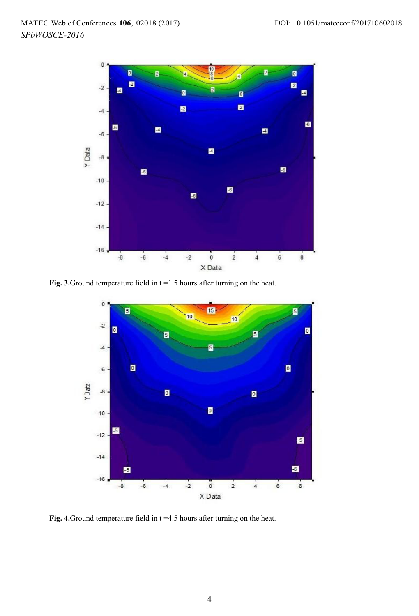

**Fig. 3.**Ground temperature field in t =1.5 hours after turning on the heat.



**Fig. 4.**Ground temperature field in t =4.5 hours after turning on the heat.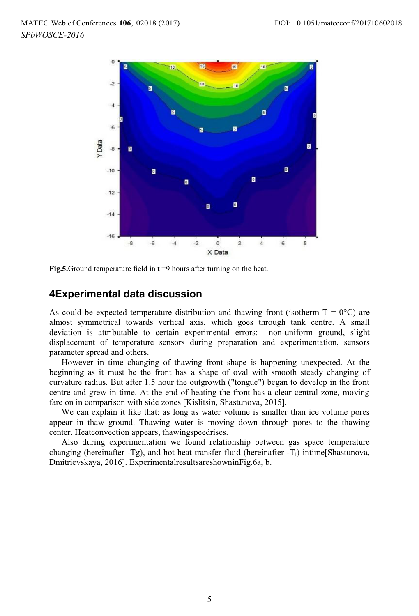

**Fig.5.**Ground temperature field in t =9 hours after turning on the heat.

#### **4Experimental data discussion**

As could be expected temperature distribution and thawing front (isotherm  $T = 0^{\circ}C$ ) are almost symmetrical towards vertical axis, which goes through tank centre. A small deviation is attributable to certain experimental errors: non-uniform ground, slight displacement of temperature sensors during preparation and experimentation, sensors parameter spread and others.

However in time changing of thawing front shape is happening unexpected. At the beginning as it must be the front has a shape of oval with smooth steady changing of curvature radius. But after 1.5 hour the outgrowth ("tongue") began to develop in the front centre and grew in time. At the end of heating the front has a clear central zone, moving fare on in comparison with side zones [Kislitsin, Shastunova, 2015].

We can explain it like that: as long as water volume is smaller than ice volume pores appear in thaw ground. Thawing water is moving down through pores to the thawing center. Heatconvection appears, thawingspeedrises.

Also during experimentation we found relationship between gas space temperature changing (hereinafter -Tg), and hot heat transfer fluid (hereinafter -T<sub>1</sub>) intime[Shastunova, Dmitrievskaya, 2016]. ExperimentalresultsareshowninFig.6a, b.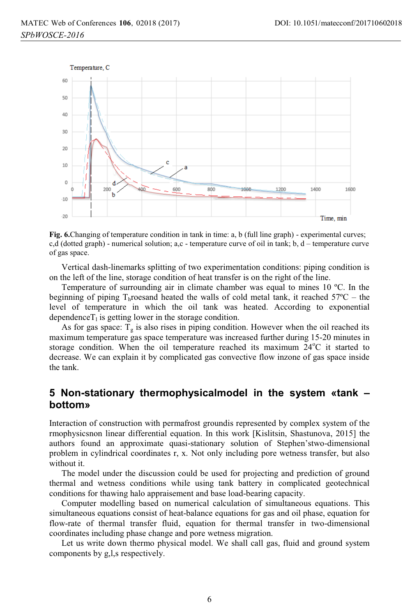

**Fig. 6.**Changing of temperature condition in tank in time: a, b (full line graph) - experimental curves; c,d (dotted graph) - numerical solution; a,c - temperature curve of oil in tank; b,  $d$  – temperature curve of gas space.

Vertical dash-linemarks splitting of two experimentation conditions: piping condition is on the left of the line, storage condition of heat transfer is on the right of the line.

Temperature of surrounding air in climate chamber was equal to mines 10 ºС. In the beginning of piping T<sub>h</sub>roesand heated the walls of cold metal tank, it reached  $57^{\circ}$ C – the level of temperature in which the oil tank was heated. According to exponential dependence  $T_1$  is getting lower in the storage condition.

As for gas space:  $T_g$  is also rises in piping condition. However when the oil reached its maximum temperature gas space temperature was increased further during 15-20 minutes in storage condition. When the oil temperature reached its maximum  $24^{\circ}$ C it started to decrease. We can explain it by complicated gas convective flow inzone of gas space inside the tank.

#### **5 Non-stationary thermophysicalmodel in the system «tank – bottom»**

Interaction of construction with permafrost groundis represented by complex system of the rmophysicsnon linear differential equation. In this work [Kislitsin, Shastunova, 2015] the authors found an approximate quasi-stationary solution of Stephen'stwo-dimensional problem in cylindrical coordinates r, x. Not only including pore wetness transfer, but also without it.

The model under the discussion could be used for projecting and prediction of ground thermal and wetness conditions while using tank battery in complicated geotechnical conditions for thawing halo appraisement and base load-bearing capacity.

Computer modelling based on numerical calculation of simultaneous equations. This simultaneous equations consist of heat-balance equations for gas and oil phase, equation for flow-rate of thermal transfer fluid, equation for thermal transfer in two-dimensional coordinates including phase change and pore wetness migration.

Let us write down thermo physical model. We shall call gas, fluid and ground system components by g,l,s respectively.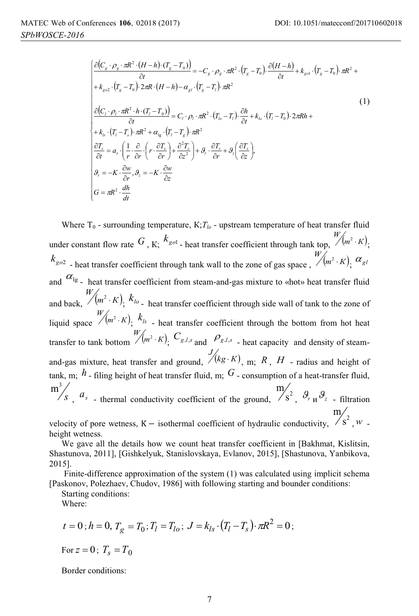$$
\begin{cases}\n\frac{\partial (C_{s} \cdot \rho_{g} \cdot \pi R^{2} \cdot (H-h) \cdot (T_{g} - T_{0}))}{\partial t} = -C_{s} \cdot \rho_{g} \cdot \pi R^{2} \cdot (T_{g} - T_{0}) \cdot \frac{\partial (H-h)}{\partial t} + k_{gol} \cdot (T_{g} - T_{0}) \cdot \pi R^{2} + \\
+ k_{gol} \cdot (T_{g} - T_{0}) \cdot 2\pi R \cdot (H-h) - \alpha_{gl} \cdot (T_{g} - T_{l}) \cdot \pi R^{2}\n\end{cases}
$$
\n
$$
\begin{cases}\n\frac{\partial (C_{i} \cdot \rho_{i} \cdot \pi R^{2} \cdot h \cdot (T_{i} - T_{0}))}{\partial t} = C_{i} \cdot \rho_{i} \cdot \pi R^{2} \cdot (T_{lo} - T_{l}) \cdot \frac{\partial h}{\partial t} + k_{lo} \cdot (T_{l} - T_{0}) \cdot 2\pi Rh + \\
+ k_{ls} \cdot (T_{i} - T_{s}) \cdot \pi R^{2} + \alpha_{lg} \cdot (T_{i} - T_{g}) \cdot \pi R^{2}\n\end{cases}
$$
\n
$$
\begin{cases}\n\frac{\partial T_{s}}{\partial t} = a_{s} \cdot \left(\frac{1}{r} \cdot \frac{\partial}{\partial r} \cdot \left(r \cdot \frac{\partial T_{s}}{\partial r}\right) + \frac{\partial^{2} T_{s}}{\partial z^{2}}\right) + \vartheta_{r} \cdot \frac{\partial T_{s}}{\partial r} + \vartheta_{z} \left(\frac{\partial T_{s}}{\partial z}\right), \\
\vartheta_{r} = -K \cdot \frac{\partial w}{\partial r}, \vartheta_{z} = -K \cdot \frac{\partial w}{\partial z}\n\end{cases}
$$
\n
$$
(1)
$$

Where  $T_0$  - surrounding temperature,  $K; T_b$  - upstream temperature of heat transfer fluid under constant flow rate  $G$ , K;  $k_{g01}$  - heat transfer coefficient through tank top,  $\frac{W}{m^2 \cdot K}$ ;  $k_{g02}$  - heat transfer coefficient through tank wall to the zone of gas space ,  $\sqrt[m^2 \cdot K)}$ ,  $\alpha_{gl}$ and  $\alpha_{\lg}$  - heat transfer coefficient from steam-and-gas mixture to «hot» heat transfer fluid and back,  $\frac{W}{m^2 \cdot K}$ ,  $k_{lo}$  - heat transfer coefficient through side wall of tank to the zone of liquid space  $\frac{W}{m^2 \cdot K}$ ,  $k_{ls}$  - heat transfer coefficient through the bottom from hot heat transfer to tank bottom  $\frac{W}{m^2 \cdot K}$ ,  $C_{g,l,s}$  and  $\rho_{g,l,s}$  - heat capacity and density of steamand-gas mixture, heat transfer and ground,  $\sqrt[k]{(kg \cdot K)}$ , m; R, H - radius and height of tank, m; *h* - filing height of heat transfer fluid, m; *G* - consumption of a heat-transfer fluid, *s*  $m<sup>3</sup>$  $\frac{a_s}{s}$  - thermal conductivity coefficient of the ground,  $\frac{a_s}{s^2}$ m  $\frac{1}{2}$ ,  $\frac{\partial}{\partial r}$   $\frac{1}{2}$  - filtration m

velocity of pore wetness, K – isothermal coefficient of hydraulic conductivity,  $\sqrt{s^2}$  $, w$  height wetness.

We gave all the details how we count heat transfer coefficient in [Bakhmat, Kislitsin, Shastunova, 2011], [Gishkelyuk, Stanislovskaya, Evlanov, 2015], [Shastunova, Yanbikova, 2015].

 Finite-difference approximation of the system (1) was calculated using implicit schema [Paskonov, Polezhaev, Chudov, 1986] with following starting and bounder conditions:

Starting conditions:

Where:

$$
t = 0
$$
;  $h = 0$ ,  $T_g = T_0$ ;  $T_l = T_{lo}$ ;  $J = k_{ls} \cdot (T_l - T_s) \cdot \pi R^2 = 0$ ;

For  $z = 0$ ;  $T_s = T_0$ 

Border conditions: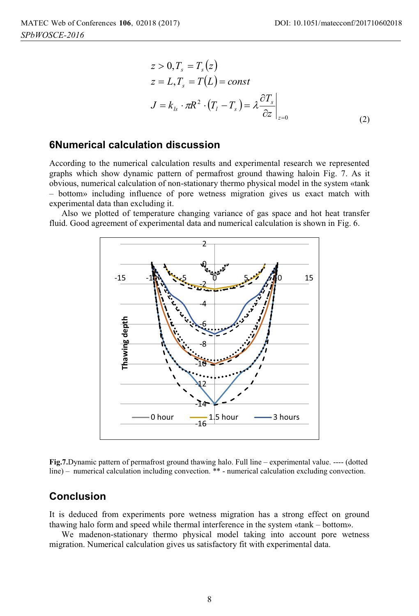$$
z > 0, T_s = T_s(z)
$$
  
\n
$$
z = L, T_s = T(L) = const
$$
  
\n
$$
J = k_{ls} \cdot \pi R^2 \cdot (T_l - T_s) = \lambda \frac{\partial T_s}{\partial z}\Big|_{z=0}
$$
 (2)

#### **6Numerical calculation discussion**

According to the numerical calculation results and experimental research we represented graphs which show dynamic pattern of permafrost ground thawing haloin Fig. 7. As it obvious, numerical calculation of non-stationary thermo physical model in the system «tank – bottom» including influence of pore wetness migration gives us exact match with experimental data than excluding it.

Also we plotted of temperature changing variance of gas space and hot heat transfer fluid. Good agreement of experimental data and numerical calculation is shown in Fig. 6.



**Fig.7.**Dynamic pattern of permafrost ground thawing halo. Full line – experimental value. ---- (dotted line) – numerical calculation including convection. \*\* - numerical calculation excluding convection.

#### **Conclusion**

It is deduced from experiments pore wetness migration has a strong effect on ground thawing halo form and speed while thermal interference in the system «tank – bottom».

We madenon-stationary thermo physical model taking into account pore wetness migration. Numerical calculation gives us satisfactory fit with experimental data.